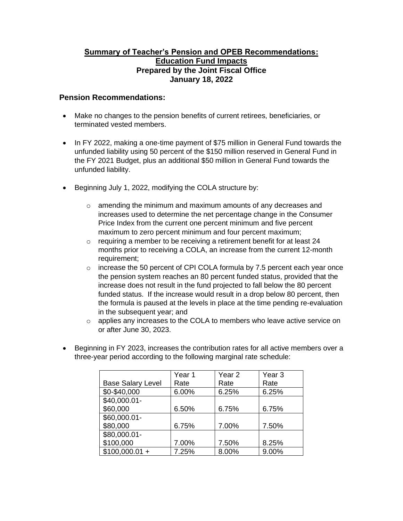## **Summary of Teacher's Pension and OPEB Recommendations: Education Fund Impacts Prepared by the Joint Fiscal Office January 18, 2022**

## **Pension Recommendations:**

- Make no changes to the pension benefits of current retirees, beneficiaries, or terminated vested members.
- In FY 2022, making a one-time payment of \$75 million in General Fund towards the unfunded liability using 50 percent of the \$150 million reserved in General Fund in the FY 2021 Budget, plus an additional \$50 million in General Fund towards the unfunded liability.
- Beginning July 1, 2022, modifying the COLA structure by:
	- o amending the minimum and maximum amounts of any decreases and increases used to determine the net percentage change in the Consumer Price Index from the current one percent minimum and five percent maximum to zero percent minimum and four percent maximum;
	- $\circ$  requiring a member to be receiving a retirement benefit for at least 24 months prior to receiving a COLA, an increase from the current 12-month requirement:
	- o increase the 50 percent of CPI COLA formula by 7.5 percent each year once the pension system reaches an 80 percent funded status, provided that the increase does not result in the fund projected to fall below the 80 percent funded status. If the increase would result in a drop below 80 percent, then the formula is paused at the levels in place at the time pending re-evaluation in the subsequent year; and
	- $\circ$  applies any increases to the COLA to members who leave active service on or after June 30, 2023.
- Beginning in FY 2023, increases the contribution rates for all active members over a three-year period according to the following marginal rate schedule:

|                          | Year 1 | Year <sub>2</sub> | Year <sub>3</sub> |
|--------------------------|--------|-------------------|-------------------|
| <b>Base Salary Level</b> | Rate   | Rate              | Rate              |
| \$0-\$40,000             | 6.00%  | 6.25%             | 6.25%             |
| \$40,000.01-             |        |                   |                   |
| \$60,000                 | 6.50%  | 6.75%             | 6.75%             |
| \$60,000.01-             |        |                   |                   |
| \$80,000                 | 6.75%  | 7.00%             | 7.50%             |
| \$80,000.01-             |        |                   |                   |
| \$100,000                | 7.00%  | 7.50%             | 8.25%             |
| $$100,000.01 +$          | 7.25%  | 8.00%             | 9.00%             |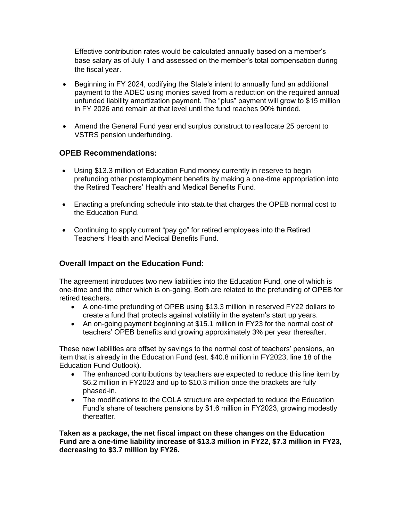Effective contribution rates would be calculated annually based on a member's base salary as of July 1 and assessed on the member's total compensation during the fiscal year.

- Beginning in FY 2024, codifying the State's intent to annually fund an additional payment to the ADEC using monies saved from a reduction on the required annual unfunded liability amortization payment. The "plus" payment will grow to \$15 million in FY 2026 and remain at that level until the fund reaches 90% funded.
- Amend the General Fund year end surplus construct to reallocate 25 percent to VSTRS pension underfunding.

## **OPEB Recommendations:**

- Using \$13.3 million of Education Fund money currently in reserve to begin prefunding other postemployment benefits by making a one-time appropriation into the Retired Teachers' Health and Medical Benefits Fund.
- Enacting a prefunding schedule into statute that charges the OPEB normal cost to the Education Fund.
- Continuing to apply current "pay go" for retired employees into the Retired Teachers' Health and Medical Benefits Fund.

## **Overall Impact on the Education Fund:**

The agreement introduces two new liabilities into the Education Fund, one of which is one-time and the other which is on-going. Both are related to the prefunding of OPEB for retired teachers.

- A one-time prefunding of OPEB using \$13.3 million in reserved FY22 dollars to create a fund that protects against volatility in the system's start up years.
- An on-going payment beginning at \$15.1 million in FY23 for the normal cost of teachers' OPEB benefits and growing approximately 3% per year thereafter.

These new liabilities are offset by savings to the normal cost of teachers' pensions, an item that is already in the Education Fund (est. \$40.8 million in FY2023, line 18 of the Education Fund Outlook).

- The enhanced contributions by teachers are expected to reduce this line item by \$6.2 million in FY2023 and up to \$10.3 million once the brackets are fully phased-in.
- The modifications to the COLA structure are expected to reduce the Education Fund's share of teachers pensions by \$1.6 million in FY2023, growing modestly thereafter.

**Taken as a package, the net fiscal impact on these changes on the Education Fund are a one-time liability increase of \$13.3 million in FY22, \$7.3 million in FY23, decreasing to \$3.7 million by FY26.**